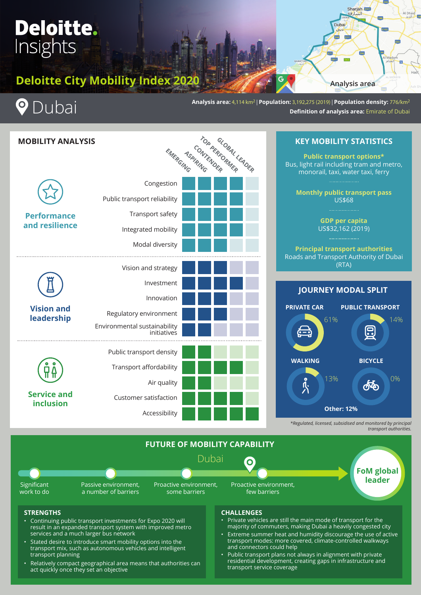# **Deloitte.** Insights

# **Deloitte City Mobility Index 2020**



I

**Analysis area:** 4,114 km2 | **Population:** 3,192,275 (2019) | **Population density:** 776/km2 **Definition of analysis area:** Emirate of Dubai





**Analysis area**

**DISR** 

Sharjah Bu

Dubai Eda E3 **E88** 

Al Dhaid

e.



*transport authorities.*

**FUTURE OF MOBILITY CAPABILITY** Passive environment, a number of barriers Proactive environment, few barriers Proactive environment, some barriers Significant work to do **FoM global leader** Dubai

### **STRENGTHS**

- Continuing public transport investments for Expo 2020 will result in an expanded transport system with improved metro services and a much larger bus network
- Stated desire to introduce smart mobility options into the transport mix, such as autonomous vehicles and intelligent transport planning
- Relatively compact geographical area means that authorities can act quickly once they set an objective

### **CHALLENGES**

- Private vehicles are still the main mode of transport for the majority of commuters, making Dubai a heavily congested city
- Extreme summer heat and humidity discourage the use of active transport modes: more covered, climate-controlled walkways and connectors could help
- Public transport plans not always in alignment with private residential development, creating gaps in infrastructure and transport service coverage